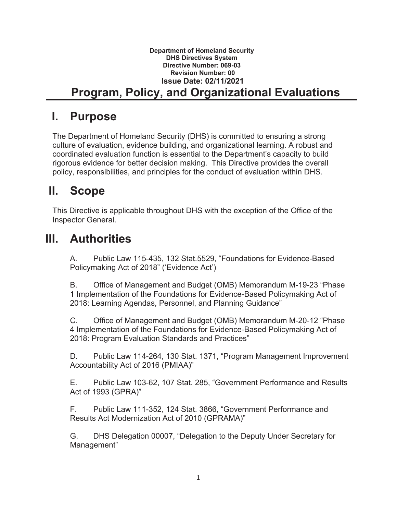#### **Department of Homeland Security DHS Directives System Directive Number: 069-03 Revision Number: 00 Issue Date: 02/11/2021 Program, Policy, and Organizational Evaluations**

### **I. Purpose**

The Department of Homeland Security (DHS) is committed to ensuring a strong culture of evaluation, evidence building, and organizational learning. A robust and coordinated evaluation function is essential to the Department's capacity to build rigorous evidence for better decision making. This Directive provides the overall policy, responsibilities, and principles for the conduct of evaluation within DHS.

# **II. Scope**

This Directive is applicable throughout DHS with the exception of the Office of the Inspector General.

## **III. Authorities**

A. Public Law 115-435, 132 Stat.5529, "Foundations for Evidence-Based Policymaking Act of 2018" ('Evidence Act')

B. Office of Management and Budget (OMB) Memorandum M-19-23 "Phase 1 Implementation of the Foundations for Evidence-Based Policymaking Act of 2018: Learning Agendas, Personnel, and Planning Guidance"

C. Office of Management and Budget (OMB) Memorandum M-20-12 "Phase 4 Implementation of the Foundations for Evidence-Based Policymaking Act of 2018: Program Evaluation Standards and Practices"

D. Public Law 114-264, 130 Stat. 1371, "Program Management Improvement Accountability Act of 2016 (PMIAA)"

E. Public Law 103-62, 107 Stat. 285, "Government Performance and Results Act of 1993 (GPRA)"

F. Public Law 111-352, 124 Stat. 3866, "Government Performance and Results Act Modernization Act of 2010 (GPRAMA)"

G. DHS Delegation 00007, "Delegation to the Deputy Under Secretary for Management"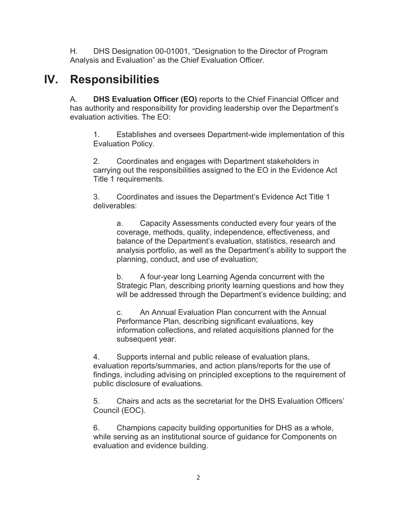H. DHS Designation 00-01001, "Designation to the Director of Program Analysis and Evaluation" as the Chief Evaluation Officer.

### **IV. Responsibilities**

A. **DHS Evaluation Officer (EO)** reports to the Chief Financial Officer and has authority and responsibility for providing leadership over the Department's evaluation activities. The EO:

1. Establishes and oversees Department-wide implementation of this Evaluation Policy.

2. Coordinates and engages with Department stakeholders in carrying out the responsibilities assigned to the EO in the Evidence Act Title 1 requirements.

3. Coordinates and issues the Department's Evidence Act Title 1 deliverables:

a. Capacity Assessments conducted every four years of the coverage, methods, quality, independence, effectiveness, and balance of the Department's evaluation, statistics, research and analysis portfolio, as well as the Department's ability to support the planning, conduct, and use of evaluation;

b. A four-year long Learning Agenda concurrent with the Strategic Plan, describing priority learning questions and how they will be addressed through the Department's evidence building; and

c. An Annual Evaluation Plan concurrent with the Annual Performance Plan, describing significant evaluations, key information collections, and related acquisitions planned for the subsequent year.

4. Supports internal and public release of evaluation plans, evaluation reports/summaries, and action plans/reports for the use of findings, including advising on principled exceptions to the requirement of public disclosure of evaluations.

5. Chairs and acts as the secretariat for the DHS Evaluation Officers' Council (EOC).

6. Champions capacity building opportunities for DHS as a whole, while serving as an institutional source of guidance for Components on evaluation and evidence building.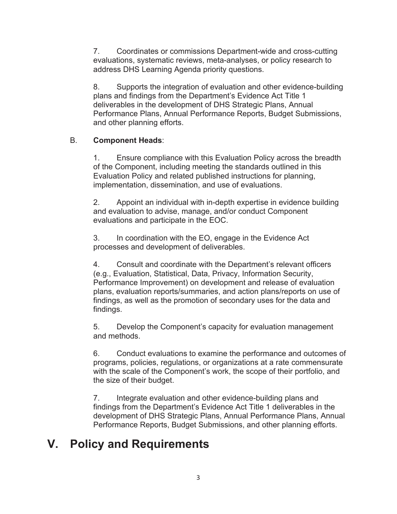7. Coordinates or commissions Department-wide and cross-cutting evaluations, systematic reviews, meta-analyses, or policy research to address DHS Learning Agenda priority questions.

8. Supports the integration of evaluation and other evidence-building plans and findings from the Department's Evidence Act Title 1 deliverables in the development of DHS Strategic Plans, Annual Performance Plans, Annual Performance Reports, Budget Submissions, and other planning efforts.

#### B. **Component Heads**:

1. Ensure compliance with this Evaluation Policy across the breadth of the Component, including meeting the standards outlined in this Evaluation Policy and related published instructions for planning, implementation, dissemination, and use of evaluations.

2. Appoint an individual with in-depth expertise in evidence building and evaluation to advise, manage, and/or conduct Component evaluations and participate in the EOC.

3. In coordination with the EO, engage in the Evidence Act processes and development of deliverables.

4. Consult and coordinate with the Department's relevant officers (e.g., Evaluation, Statistical, Data, Privacy, Information Security, Performance Improvement) on development and release of evaluation plans, evaluation reports/summaries, and action plans/reports on use of findings, as well as the promotion of secondary uses for the data and findings.

5. Develop the Component's capacity for evaluation management and methods.

6. Conduct evaluations to examine the performance and outcomes of programs, policies, regulations, or organizations at a rate commensurate with the scale of the Component's work, the scope of their portfolio, and the size of their budget.

7. Integrate evaluation and other evidence-building plans and findings from the Department's Evidence Act Title 1 deliverables in the development of DHS Strategic Plans, Annual Performance Plans, Annual Performance Reports, Budget Submissions, and other planning efforts.

#### **V. Policy and Requirements**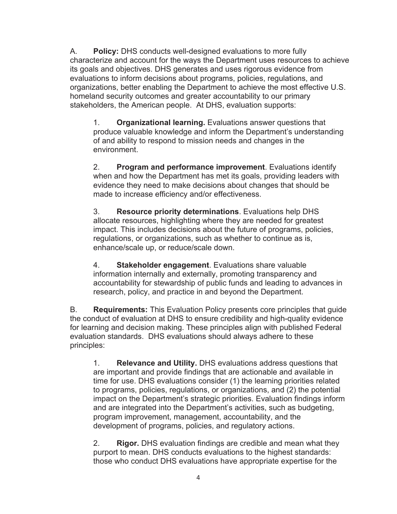A. **Policy:** DHS conducts well-designed evaluations to more fully characterize and account for the ways the Department uses resources to achieve its goals and objectives. DHS generates and uses rigorous evidence from evaluations to inform decisions about programs, policies, regulations, and organizations, better enabling the Department to achieve the most effective U.S. homeland security outcomes and greater accountability to our primary stakeholders, the American people. At DHS, evaluation supports:

1. **Organizational learning.** Evaluations answer questions that produce valuable knowledge and inform the Department's understanding of and ability to respond to mission needs and changes in the environment.

2. **Program and performance improvement**. Evaluations identify when and how the Department has met its goals, providing leaders with evidence they need to make decisions about changes that should be made to increase efficiency and/or effectiveness.

3. **Resource priority determinations**. Evaluations help DHS allocate resources, highlighting where they are needed for greatest impact. This includes decisions about the future of programs, policies, regulations, or organizations, such as whether to continue as is, enhance/scale up, or reduce/scale down.

4. **Stakeholder engagement**. Evaluations share valuable information internally and externally, promoting transparency and accountability for stewardship of public funds and leading to advances in research, policy, and practice in and beyond the Department.

B. **Requirements:** This Evaluation Policy presents core principles that guide the conduct of evaluation at DHS to ensure credibility and high-quality evidence for learning and decision making. These principles align with published Federal evaluation standards. DHS evaluations should always adhere to these principles:

1. **Relevance and Utility.** DHS evaluations address questions that are important and provide findings that are actionable and available in time for use. DHS evaluations consider (1) the learning priorities related to programs, policies, regulations, or organizations, and (2) the potential impact on the Department's strategic priorities. Evaluation findings inform and are integrated into the Department's activities, such as budgeting, program improvement, management, accountability, and the development of programs, policies, and regulatory actions.

2. **Rigor.** DHS evaluation findings are credible and mean what they purport to mean. DHS conducts evaluations to the highest standards: those who conduct DHS evaluations have appropriate expertise for the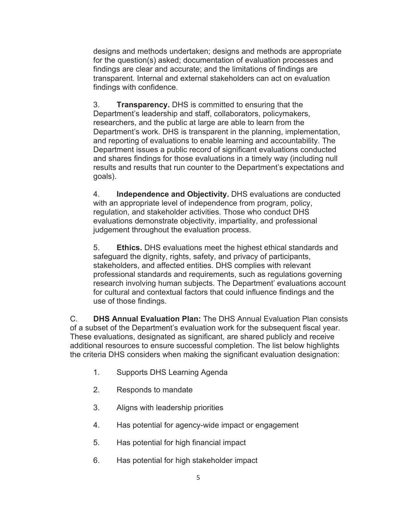designs and methods undertaken; designs and methods are appropriate for the question(s) asked; documentation of evaluation processes and findings are clear and accurate; and the limitations of findings are transparent. Internal and external stakeholders can act on evaluation findings with confidence.

3. **Transparency.** DHS is committed to ensuring that the Department's leadership and staff, collaborators, policymakers, researchers, and the public at large are able to learn from the Department's work. DHS is transparent in the planning, implementation, and reporting of evaluations to enable learning and accountability. The Department issues a public record of significant evaluations conducted and shares findings for those evaluations in a timely way (including null results and results that run counter to the Department's expectations and goals).

4. **Independence and Objectivity.** DHS evaluations are conducted with an appropriate level of independence from program, policy, regulation, and stakeholder activities. Those who conduct DHS evaluations demonstrate objectivity, impartiality, and professional judgement throughout the evaluation process.

5. **Ethics.** DHS evaluations meet the highest ethical standards and safeguard the dignity, rights, safety, and privacy of participants, stakeholders, and affected entities. DHS complies with relevant professional standards and requirements, such as regulations governing research involving human subjects. The Department' evaluations account for cultural and contextual factors that could influence findings and the use of those findings.

C. **DHS Annual Evaluation Plan:** The DHS Annual Evaluation Plan consists of a subset of the Department's evaluation work for the subsequent fiscal year. These evaluations, designated as significant, are shared publicly and receive additional resources to ensure successful completion. The list below highlights the criteria DHS considers when making the significant evaluation designation:

- 1. Supports DHS Learning Agenda
- 2. Responds to mandate
- 3. Aligns with leadership priorities
- 4. Has potential for agency-wide impact or engagement
- 5. Has potential for high financial impact
- 6. Has potential for high stakeholder impact